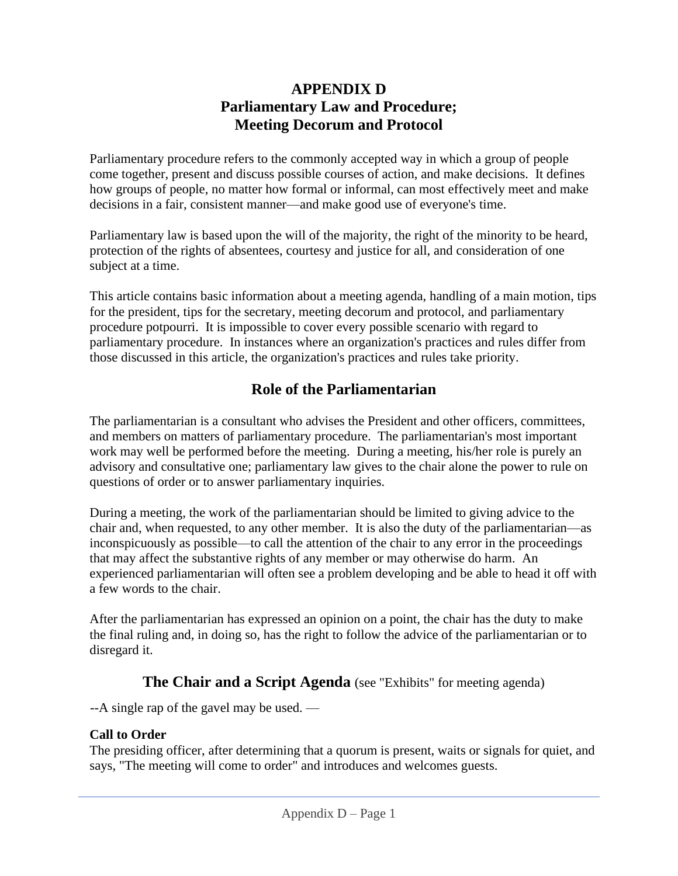### **APPENDIX D Parliamentary Law and Procedure; Meeting Decorum and Protocol**

Parliamentary procedure refers to the commonly accepted way in which a group of people come together, present and discuss possible courses of action, and make decisions. It defines how groups of people, no matter how formal or informal, can most effectively meet and make decisions in a fair, consistent manner—and make good use of everyone's time.

Parliamentary law is based upon the will of the majority, the right of the minority to be heard, protection of the rights of absentees, courtesy and justice for all, and consideration of one subject at a time.

This article contains basic information about a meeting agenda, handling of a main motion, tips for the president, tips for the secretary, meeting decorum and protocol, and parliamentary procedure potpourri. It is impossible to cover every possible scenario with regard to parliamentary procedure. In instances where an organization's practices and rules differ from those discussed in this article, the organization's practices and rules take priority.

# **Role of the Parliamentarian**

The parliamentarian is a consultant who advises the President and other officers, committees, and members on matters of parliamentary procedure. The parliamentarian's most important work may well be performed before the meeting. During a meeting, his/her role is purely an advisory and consultative one; parliamentary law gives to the chair alone the power to rule on questions of order or to answer parliamentary inquiries.

During a meeting, the work of the parliamentarian should be limited to giving advice to the chair and, when requested, to any other member. It is also the duty of the parliamentarian—as inconspicuously as possible—to call the attention of the chair to any error in the proceedings that may affect the substantive rights of any member or may otherwise do harm. An experienced parliamentarian will often see a problem developing and be able to head it off with a few words to the chair.

After the parliamentarian has expressed an opinion on a point, the chair has the duty to make the final ruling and, in doing so, has the right to follow the advice of the parliamentarian or to disregard it.

### **The Chair and a Script Agenda** (see "Exhibits" for meeting agenda)

--A single rap of the gavel may be used. —

### **Call to Order**

The presiding officer, after determining that a quorum is present, waits or signals for quiet, and says, "The meeting will come to order" and introduces and welcomes guests.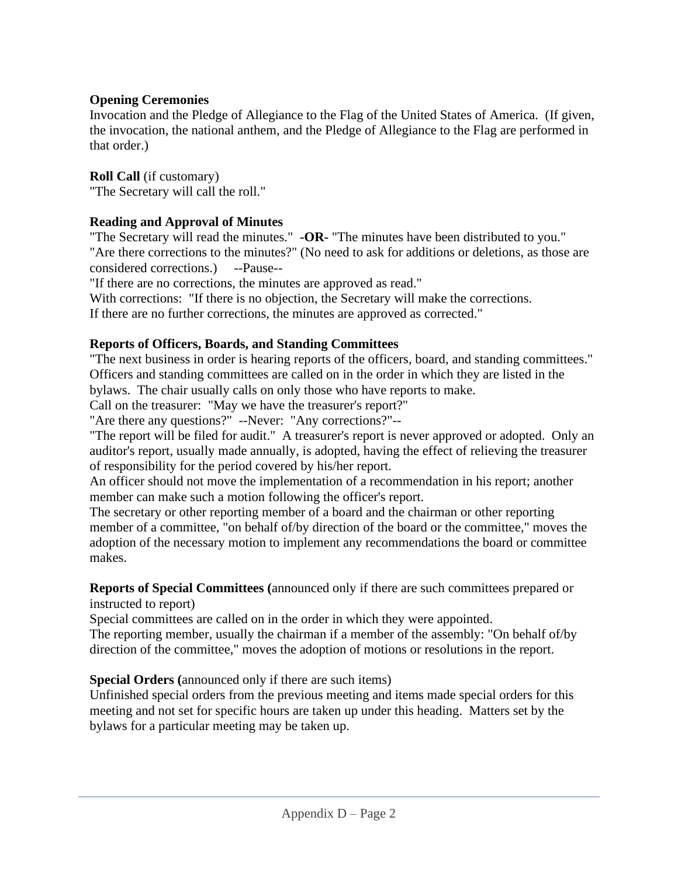#### **Opening Ceremonies**

Invocation and the Pledge of Allegiance to the Flag of the United States of America. (If given, the invocation, the national anthem, and the Pledge of Allegiance to the Flag are performed in that order.)

**Roll Call** (if customary) "The Secretary will call the roll."

#### **Reading and Approval of Minutes**

"The Secretary will read the minutes." **-OR-** "The minutes have been distributed to you." "Are there corrections to the minutes?" (No need to ask for additions or deletions, as those are considered corrections.) --Pause--

"If there are no corrections, the minutes are approved as read."

With corrections: "If there is no objection, the Secretary will make the corrections.

If there are no further corrections, the minutes are approved as corrected."

#### **Reports of Officers, Boards, and Standing Committees**

"The next business in order is hearing reports of the officers, board, and standing committees." Officers and standing committees are called on in the order in which they are listed in the bylaws. The chair usually calls on only those who have reports to make.

Call on the treasurer: "May we have the treasurer's report?"

"Are there any questions?" --Never: "Any corrections?"--

"The report will be filed for audit." A treasurer's report is never approved or adopted. Only an auditor's report, usually made annually, is adopted, having the effect of relieving the treasurer of responsibility for the period covered by his/her report.

An officer should not move the implementation of a recommendation in his report; another member can make such a motion following the officer's report.

The secretary or other reporting member of a board and the chairman or other reporting member of a committee, "on behalf of/by direction of the board or the committee," moves the adoption of the necessary motion to implement any recommendations the board or committee makes.

#### **Reports of Special Committees (**announced only if there are such committees prepared or instructed to report)

Special committees are called on in the order in which they were appointed.

The reporting member, usually the chairman if a member of the assembly: "On behalf of/by direction of the committee," moves the adoption of motions or resolutions in the report.

#### **Special Orders (**announced only if there are such items)

Unfinished special orders from the previous meeting and items made special orders for this meeting and not set for specific hours are taken up under this heading. Matters set by the bylaws for a particular meeting may be taken up.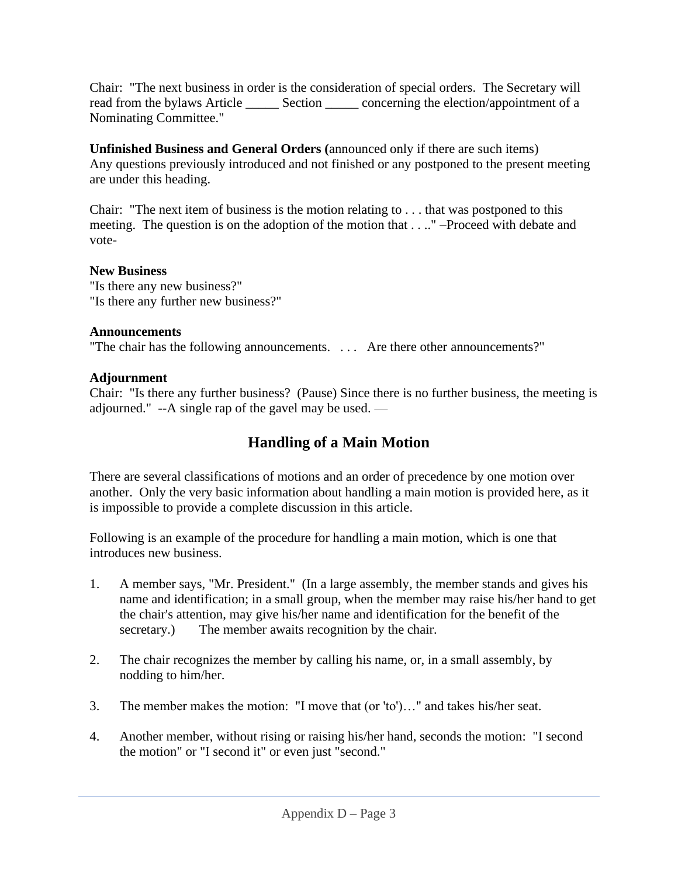Chair: "The next business in order is the consideration of special orders. The Secretary will read from the bylaws Article \_\_\_\_\_\_\_ Section \_\_\_\_\_\_ concerning the election/appointment of a Nominating Committee."

**Unfinished Business and General Orders (**announced only if there are such items) Any questions previously introduced and not finished or any postponed to the present meeting are under this heading.

Chair: "The next item of business is the motion relating to . . . that was postponed to this meeting. The question is on the adoption of the motion that . . .." –Proceed with debate and vote-

#### **New Business**

"Is there any new business?" "Is there any further new business?"

#### **Announcements**

"The chair has the following announcements. . . . Are there other announcements?"

#### **Adjournment**

Chair: "Is there any further business? (Pause) Since there is no further business, the meeting is adjourned." --A single rap of the gavel may be used. —

# **Handling of a Main Motion**

There are several classifications of motions and an order of precedence by one motion over another. Only the very basic information about handling a main motion is provided here, as it is impossible to provide a complete discussion in this article.

Following is an example of the procedure for handling a main motion, which is one that introduces new business.

- 1. A member says, "Mr. President." (In a large assembly, the member stands and gives his name and identification; in a small group, when the member may raise his/her hand to get the chair's attention, may give his/her name and identification for the benefit of the secretary.) The member awaits recognition by the chair.
- 2. The chair recognizes the member by calling his name, or, in a small assembly, by nodding to him/her.
- 3. The member makes the motion: "I move that (or 'to')…" and takes his/her seat.
- 4. Another member, without rising or raising his/her hand, seconds the motion: "I second the motion" or "I second it" or even just "second."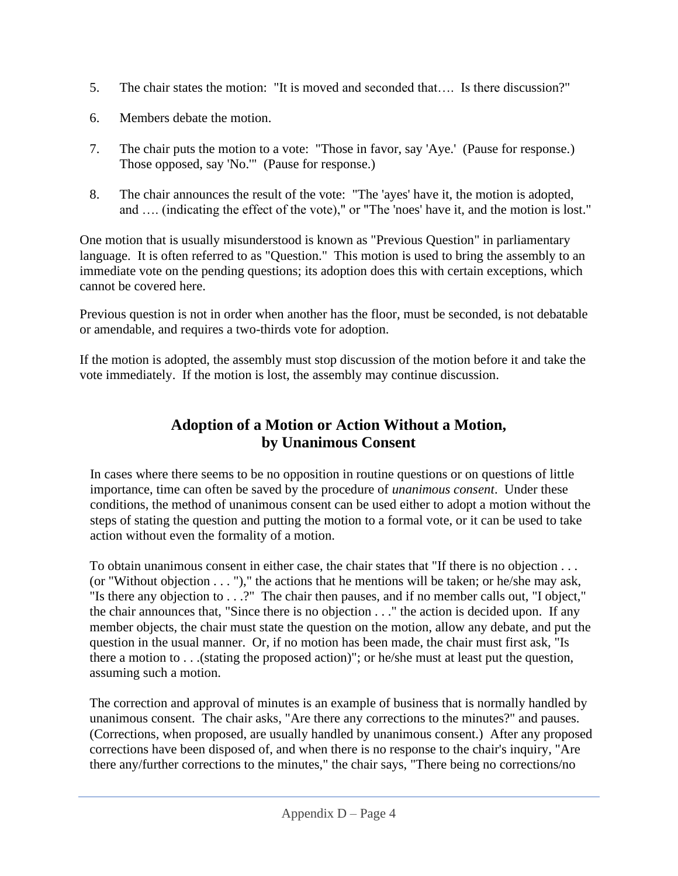- 5. The chair states the motion: "It is moved and seconded that…. Is there discussion?"
- 6. Members debate the motion.
- 7. The chair puts the motion to a vote: "Those in favor, say 'Aye.' (Pause for response.) Those opposed, say 'No.'" (Pause for response.)
- 8. The chair announces the result of the vote: "The 'ayes' have it, the motion is adopted, and …. (indicating the effect of the vote)," or "The 'noes' have it, and the motion is lost."

One motion that is usually misunderstood is known as "Previous Question" in parliamentary language. It is often referred to as "Question." This motion is used to bring the assembly to an immediate vote on the pending questions; its adoption does this with certain exceptions, which cannot be covered here.

Previous question is not in order when another has the floor, must be seconded, is not debatable or amendable, and requires a two-thirds vote for adoption.

If the motion is adopted, the assembly must stop discussion of the motion before it and take the vote immediately. If the motion is lost, the assembly may continue discussion.

# **Adoption of a Motion or Action Without a Motion, by Unanimous Consent**

In cases where there seems to be no opposition in routine questions or on questions of little importance, time can often be saved by the procedure of *unanimous consent*. Under these conditions, the method of unanimous consent can be used either to adopt a motion without the steps of stating the question and putting the motion to a formal vote, or it can be used to take action without even the formality of a motion.

To obtain unanimous consent in either case, the chair states that "If there is no objection . . . (or "Without objection  $\dots$ ")," the actions that he mentions will be taken; or he/she may ask, "Is there any objection to . . .?" The chair then pauses, and if no member calls out, "I object," the chair announces that, "Since there is no objection . . ." the action is decided upon. If any member objects, the chair must state the question on the motion, allow any debate, and put the question in the usual manner. Or, if no motion has been made, the chair must first ask, "Is there a motion to . . .(stating the proposed action)"; or he/she must at least put the question, assuming such a motion.

The correction and approval of minutes is an example of business that is normally handled by unanimous consent. The chair asks, "Are there any corrections to the minutes?" and pauses. (Corrections, when proposed, are usually handled by unanimous consent.) After any proposed corrections have been disposed of, and when there is no response to the chair's inquiry, "Are there any/further corrections to the minutes," the chair says, "There being no corrections/no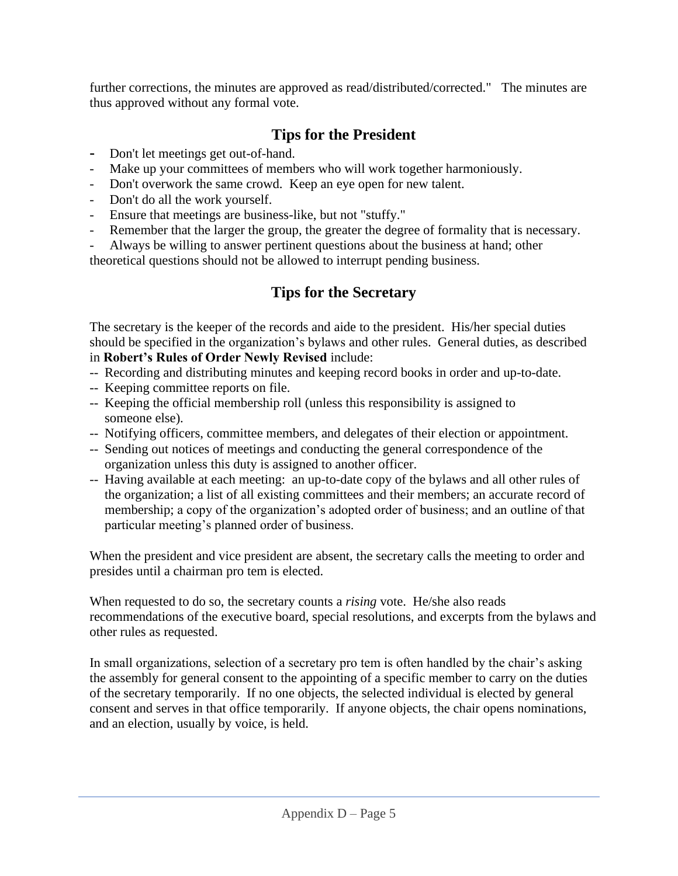further corrections, the minutes are approved as read/distributed/corrected." The minutes are thus approved without any formal vote.

# **Tips for the President**

- **-** Don't let meetings get out-of-hand.
- Make up your committees of members who will work together harmoniously.
- Don't overwork the same crowd. Keep an eye open for new talent.
- Don't do all the work yourself.
- Ensure that meetings are business-like, but not "stuffy."
- Remember that the larger the group, the greater the degree of formality that is necessary.

Always be willing to answer pertinent questions about the business at hand; other theoretical questions should not be allowed to interrupt pending business.

### **Tips for the Secretary**

The secretary is the keeper of the records and aide to the president. His/her special duties should be specified in the organization's bylaws and other rules. General duties, as described in **Robert's Rules of Order Newly Revised** include:

- -- Recording and distributing minutes and keeping record books in order and up-to-date.
- -- Keeping committee reports on file.
- -- Keeping the official membership roll (unless this responsibility is assigned to someone else).
- -- Notifying officers, committee members, and delegates of their election or appointment.
- -- Sending out notices of meetings and conducting the general correspondence of the organization unless this duty is assigned to another officer.
- -- Having available at each meeting: an up-to-date copy of the bylaws and all other rules of the organization; a list of all existing committees and their members; an accurate record of membership; a copy of the organization's adopted order of business; and an outline of that particular meeting's planned order of business.

When the president and vice president are absent, the secretary calls the meeting to order and presides until a chairman pro tem is elected.

When requested to do so, the secretary counts a *rising* vote. He/she also reads recommendations of the executive board, special resolutions, and excerpts from the bylaws and other rules as requested.

In small organizations, selection of a secretary pro tem is often handled by the chair's asking the assembly for general consent to the appointing of a specific member to carry on the duties of the secretary temporarily. If no one objects, the selected individual is elected by general consent and serves in that office temporarily. If anyone objects, the chair opens nominations, and an election, usually by voice, is held.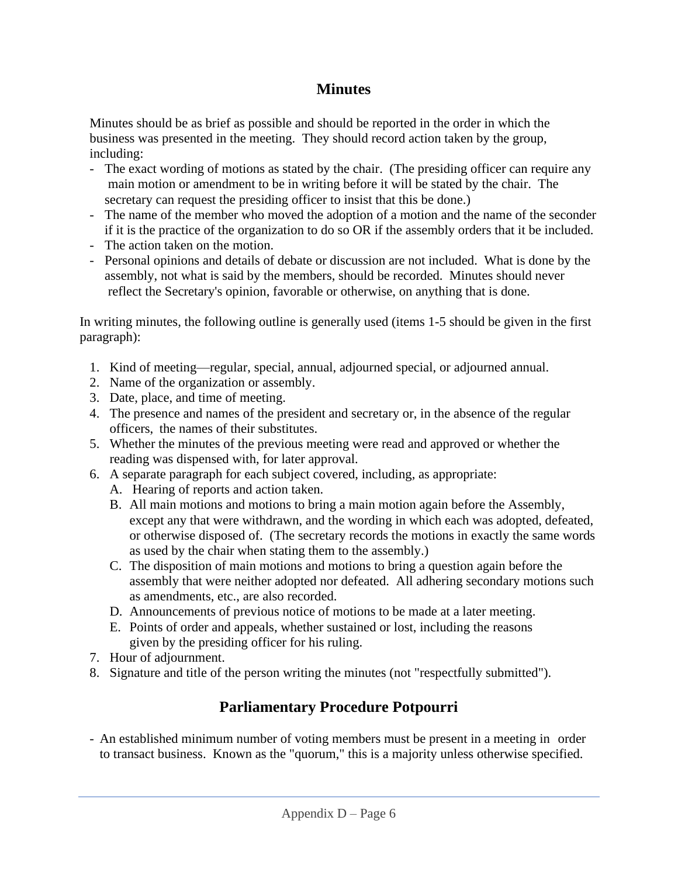### **Minutes**

Minutes should be as brief as possible and should be reported in the order in which the business was presented in the meeting. They should record action taken by the group, including:

- The exact wording of motions as stated by the chair. (The presiding officer can require any main motion or amendment to be in writing before it will be stated by the chair. The secretary can request the presiding officer to insist that this be done.)
- The name of the member who moved the adoption of a motion and the name of the seconder if it is the practice of the organization to do so OR if the assembly orders that it be included.
- The action taken on the motion.
- Personal opinions and details of debate or discussion are not included. What is done by the assembly, not what is said by the members, should be recorded. Minutes should never reflect the Secretary's opinion, favorable or otherwise, on anything that is done.

In writing minutes, the following outline is generally used (items 1-5 should be given in the first paragraph):

- 1. Kind of meeting—regular, special, annual, adjourned special, or adjourned annual.
- 2. Name of the organization or assembly.
- 3. Date, place, and time of meeting.
- 4. The presence and names of the president and secretary or, in the absence of the regular officers, the names of their substitutes.
- 5. Whether the minutes of the previous meeting were read and approved or whether the reading was dispensed with, for later approval.
- 6. A separate paragraph for each subject covered, including, as appropriate:
	- A. Hearing of reports and action taken.
	- B. All main motions and motions to bring a main motion again before the Assembly, except any that were withdrawn, and the wording in which each was adopted, defeated, or otherwise disposed of. (The secretary records the motions in exactly the same words as used by the chair when stating them to the assembly.)
	- C. The disposition of main motions and motions to bring a question again before the assembly that were neither adopted nor defeated. All adhering secondary motions such as amendments, etc., are also recorded.
	- D. Announcements of previous notice of motions to be made at a later meeting.
	- E. Points of order and appeals, whether sustained or lost, including the reasons given by the presiding officer for his ruling.
- 7. Hour of adjournment.
- 8. Signature and title of the person writing the minutes (not "respectfully submitted").

# **Parliamentary Procedure Potpourri**

- An established minimum number of voting members must be present in a meeting in order to transact business. Known as the "quorum," this is a majority unless otherwise specified.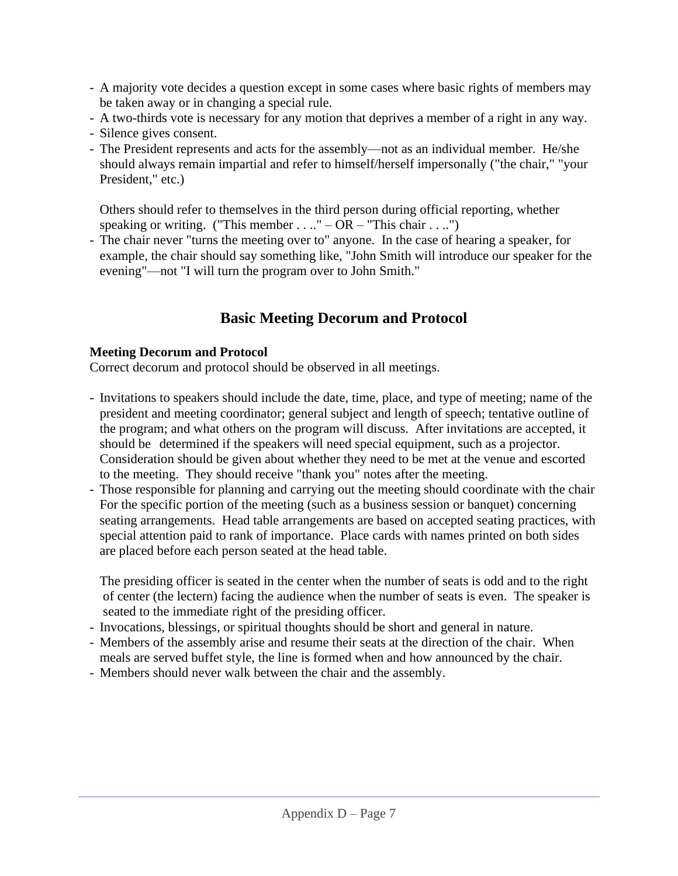- A majority vote decides a question except in some cases where basic rights of members may be taken away or in changing a special rule.
- A two-thirds vote is necessary for any motion that deprives a member of a right in any way.
- Silence gives consent.
- The President represents and acts for the assembly—not as an individual member. He/she should always remain impartial and refer to himself/herself impersonally ("the chair," "your President," etc.)

Others should refer to themselves in the third person during official reporting, whether speaking or writing. ("This member  $\dots$ ." – OR – "This chair  $\dots$ .")

- The chair never "turns the meeting over to" anyone. In the case of hearing a speaker, for example, the chair should say something like, "John Smith will introduce our speaker for the evening"—not "I will turn the program over to John Smith."

## **Basic Meeting Decorum and Protocol**

#### **Meeting Decorum and Protocol**

Correct decorum and protocol should be observed in all meetings.

- Invitations to speakers should include the date, time, place, and type of meeting; name of the president and meeting coordinator; general subject and length of speech; tentative outline of the program; and what others on the program will discuss. After invitations are accepted, it should be determined if the speakers will need special equipment, such as a projector. Consideration should be given about whether they need to be met at the venue and escorted to the meeting. They should receive "thank you" notes after the meeting.
- Those responsible for planning and carrying out the meeting should coordinate with the chair For the specific portion of the meeting (such as a business session or banquet) concerning seating arrangements. Head table arrangements are based on accepted seating practices, with special attention paid to rank of importance. Place cards with names printed on both sides are placed before each person seated at the head table.

The presiding officer is seated in the center when the number of seats is odd and to the right of center (the lectern) facing the audience when the number of seats is even. The speaker is seated to the immediate right of the presiding officer.

- Invocations, blessings, or spiritual thoughts should be short and general in nature.
- Members of the assembly arise and resume their seats at the direction of the chair. When meals are served buffet style, the line is formed when and how announced by the chair.
- Members should never walk between the chair and the assembly.